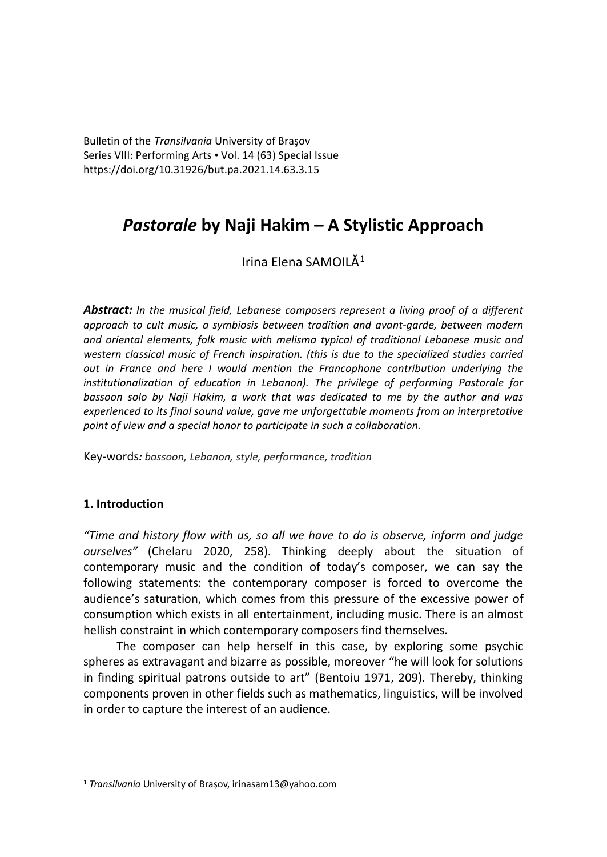Bulletin of the *Transilvania* University of Braşov Series VIII: Performing Arts • Vol. 14 (63) Special Issue https://doi.org/10.31926/but.pa.2021.14.63.3.15

# *Pastorale* **by Naji Hakim – A Stylistic Approach**

Irina Elena SAMOIL $\check{A}^1$  $\check{A}^1$ 

*Abstract: In the musical field, Lebanese composers represent a living proof of a different approach to cult music, a symbiosis between tradition and avant-garde, between modern and oriental elements, folk music with melisma typical of traditional Lebanese music and western classical music of French inspiration. (this is due to the specialized studies carried out in France and here I would mention the Francophone contribution underlying the institutionalization of education in Lebanon). The privilege of performing Pastorale for bassoon solo by Naji Hakim, a work that was dedicated to me by the author and was experienced to its final sound value, gave me unforgettable moments from an interpretative point of view and a special honor to participate in such a collaboration.*

Key-words*: bassoon, Lebanon, style, performance, tradition*

## **1. Introduction**

*"Time and history flow with us, so all we have to do is observe, inform and judge ourselves"* (Chelaru 2020, 258). Thinking deeply about the situation of contemporary music and the condition of today's composer, we can say the following statements: the contemporary composer is forced to overcome the audience's saturation, which comes from this pressure of the excessive power of consumption which exists in all entertainment, including music. There is an almost hellish constraint in which contemporary composers find themselves.

The composer can help herself in this case, by exploring some psychic spheres as extravagant and bizarre as possible, moreover "he will look for solutions in finding spiritual patrons outside to art" (Bentoiu 1971, 209). Thereby, thinking components proven in other fields such as mathematics, linguistics, will be involved in order to capture the interest of an audience.

<span id="page-0-0"></span><sup>1</sup> *Transilvania* University of Brașov[, irinasam13@yahoo.com](mailto:irinasam13@yahoo.com)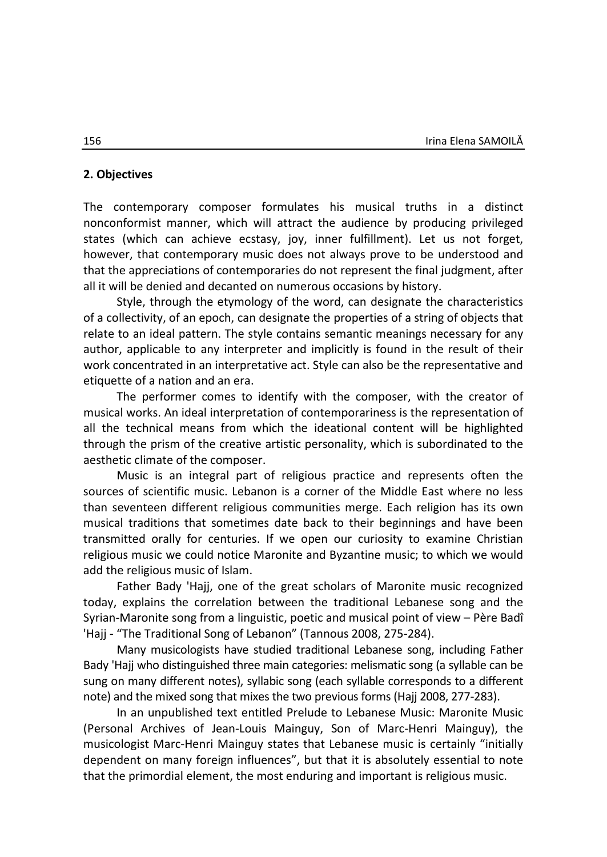#### **2. Objectives**

The contemporary composer formulates his musical truths in a distinct nonconformist manner, which will attract the audience by producing privileged states (which can achieve ecstasy, joy, inner fulfillment). Let us not forget, however, that contemporary music does not always prove to be understood and that the appreciations of contemporaries do not represent the final judgment, after all it will be denied and decanted on numerous occasions by history.

Style, through the etymology of the word, can designate the characteristics of a collectivity, of an epoch, can designate the properties of a string of objects that relate to an ideal pattern. The style contains semantic meanings necessary for any author, applicable to any interpreter and implicitly is found in the result of their work concentrated in an interpretative act. Style can also be the representative and etiquette of a nation and an era.

The performer comes to identify with the composer, with the creator of musical works. An ideal interpretation of contemporariness is the representation of all the technical means from which the ideational content will be highlighted through the prism of the creative artistic personality, which is subordinated to the aesthetic climate of the composer.

Music is an integral part of religious practice and represents often the sources of scientific music. Lebanon is a corner of the Middle East where no less than seventeen different religious communities merge. Each religion has its own musical traditions that sometimes date back to their beginnings and have been transmitted orally for centuries. If we open our curiosity to examine Christian religious music we could notice Maronite and Byzantine music; to which we would add the religious music of Islam.

Father Bady 'Hajj, one of the great scholars of Maronite music recognized today, explains the correlation between the traditional Lebanese song and the Syrian-Maronite song from a linguistic, poetic and musical point of view – Père Badî 'Hajj - "The Traditional Song of Lebanon" (Tannous 2008, 275-284).

Many musicologists have studied traditional Lebanese song, including Father Bady 'Hajj who distinguished three main categories: melismatic song (a syllable can be sung on many different notes), syllabic song (each syllable corresponds to a different note) and the mixed song that mixes the two previous forms (Hajj 2008, 277-283).

In an unpublished text entitled Prelude to Lebanese Music: Maronite Music (Personal Archives of Jean-Louis Mainguy, Son of Marc-Henri Mainguy), the musicologist Marc-Henri Mainguy states that Lebanese music is certainly "initially dependent on many foreign influences", but that it is absolutely essential to note that the primordial element, the most enduring and important is religious music.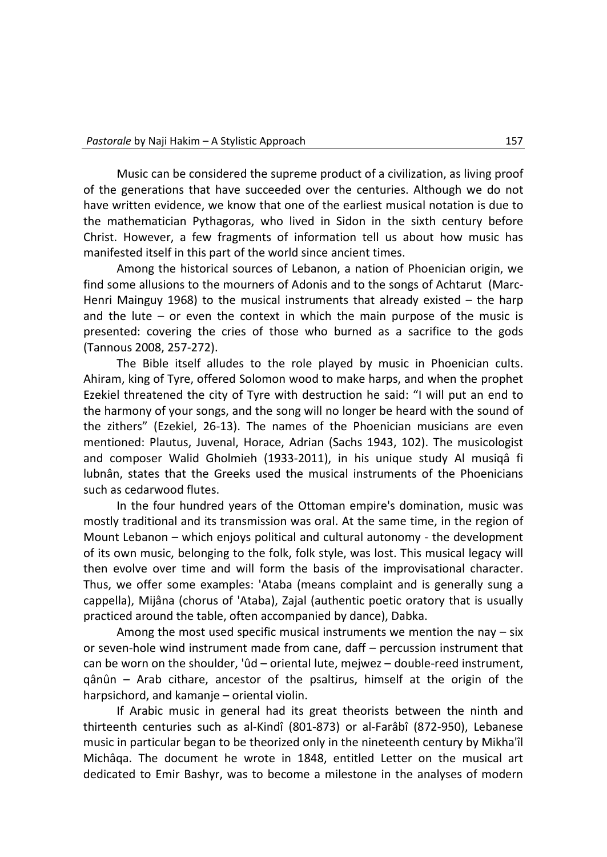Music can be considered the supreme product of a civilization, as living proof of the generations that have succeeded over the centuries. Although we do not have written evidence, we know that one of the earliest musical notation is due to the mathematician Pythagoras, who lived in Sidon in the sixth century before Christ. However, a few fragments of information tell us about how music has manifested itself in this part of the world since ancient times.

Among the historical sources of Lebanon, a nation of Phoenician origin, we find some allusions to the mourners of Adonis and to the songs of Achtarut (Marc-Henri Mainguy 1968) to the musical instruments that already existed – the harp and the lute  $-$  or even the context in which the main purpose of the music is presented: covering the cries of those who burned as a sacrifice to the gods (Tannous 2008, 257-272).

The Bible itself alludes to the role played by music in Phoenician cults. Ahiram, king of Tyre, offered Solomon wood to make harps, and when the prophet Ezekiel threatened the city of Tyre with destruction he said: "I will put an end to the harmony of your songs, and the song will no longer be heard with the sound of the zithers" (Ezekiel, 26-13). The names of the Phoenician musicians are even mentioned: Plautus, Juvenal, Horace, Adrian (Sachs 1943, 102). The musicologist and composer Walid Gholmieh (1933-2011), in his unique study Al musiqâ fi lubnân, states that the Greeks used the musical instruments of the Phoenicians such as cedarwood flutes.

In the four hundred years of the Ottoman empire's domination, music was mostly traditional and its transmission was oral. At the same time, in the region of Mount Lebanon – which enjoys political and cultural autonomy - the development of its own music, belonging to the folk, folk style, was lost. This musical legacy will then evolve over time and will form the basis of the improvisational character. Thus, we offer some examples: 'Ataba (means complaint and is generally sung a cappella), Mijâna (chorus of 'Ataba), Zajal (authentic poetic oratory that is usually practiced around the table, often accompanied by dance), Dabka.

Among the most used specific musical instruments we mention the nay – six or seven-hole wind instrument made from cane, daff – percussion instrument that can be worn on the shoulder, 'ûd – oriental lute, mejwez – double-reed instrument, qânûn – Arab cithare, ancestor of the psaltirus, himself at the origin of the harpsichord, and kamanje – oriental violin.

If Arabic music in general had its great theorists between the ninth and thirteenth centuries such as al-Kindî (801-873) or al-Farâbî (872-950), Lebanese music in particular began to be theorized only in the nineteenth century by Mikha'îl Michâqa. The document he wrote in 1848, entitled Letter on the musical art dedicated to Emir Bashyr, was to become a milestone in the analyses of modern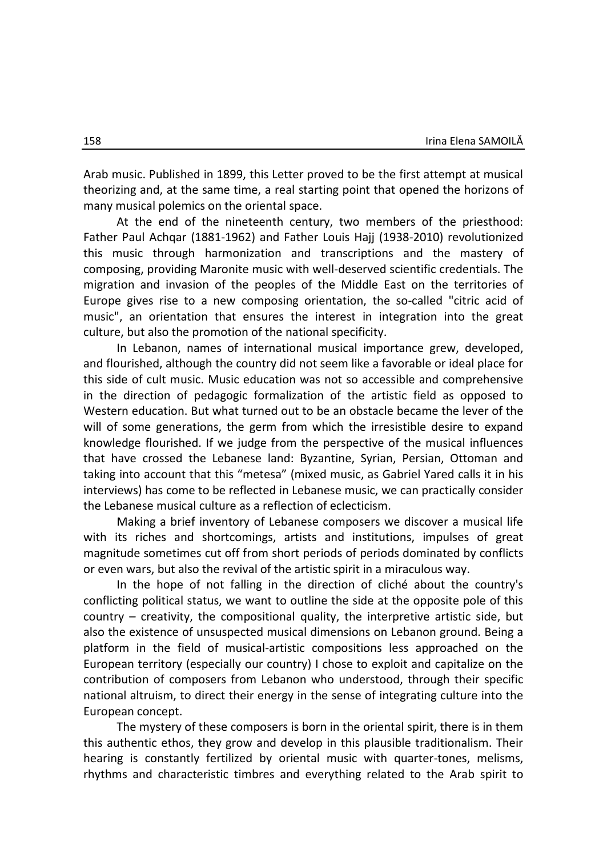Arab music. Published in 1899, this Letter proved to be the first attempt at musical theorizing and, at the same time, a real starting point that opened the horizons of many musical polemics on the oriental space.

At the end of the nineteenth century, two members of the priesthood: Father Paul Achqar (1881-1962) and Father Louis Hajj (1938-2010) revolutionized this music through harmonization and transcriptions and the mastery of composing, providing Maronite music with well-deserved scientific credentials. The migration and invasion of the peoples of the Middle East on the territories of Europe gives rise to a new composing orientation, the so-called "citric acid of music", an orientation that ensures the interest in integration into the great culture, but also the promotion of the national specificity.

In Lebanon, names of international musical importance grew, developed, and flourished, although the country did not seem like a favorable or ideal place for this side of cult music. Music education was not so accessible and comprehensive in the direction of pedagogic formalization of the artistic field as opposed to Western education. But what turned out to be an obstacle became the lever of the will of some generations, the germ from which the irresistible desire to expand knowledge flourished. If we judge from the perspective of the musical influences that have crossed the Lebanese land: Byzantine, Syrian, Persian, Ottoman and taking into account that this "metesa" (mixed music, as Gabriel Yared calls it in his interviews) has come to be reflected in Lebanese music, we can practically consider the Lebanese musical culture as a reflection of eclecticism.

Making a brief inventory of Lebanese composers we discover a musical life with its riches and shortcomings, artists and institutions, impulses of great magnitude sometimes cut off from short periods of periods dominated by conflicts or even wars, but also the revival of the artistic spirit in a miraculous way.

In the hope of not falling in the direction of cliché about the country's conflicting political status, we want to outline the side at the opposite pole of this country – creativity, the compositional quality, the interpretive artistic side, but also the existence of unsuspected musical dimensions on Lebanon ground. Being a platform in the field of musical-artistic compositions less approached on the European territory (especially our country) I chose to exploit and capitalize on the contribution of composers from Lebanon who understood, through their specific national altruism, to direct their energy in the sense of integrating culture into the European concept.

The mystery of these composers is born in the oriental spirit, there is in them this authentic ethos, they grow and develop in this plausible traditionalism. Their hearing is constantly fertilized by oriental music with quarter-tones, melisms, rhythms and characteristic timbres and everything related to the Arab spirit to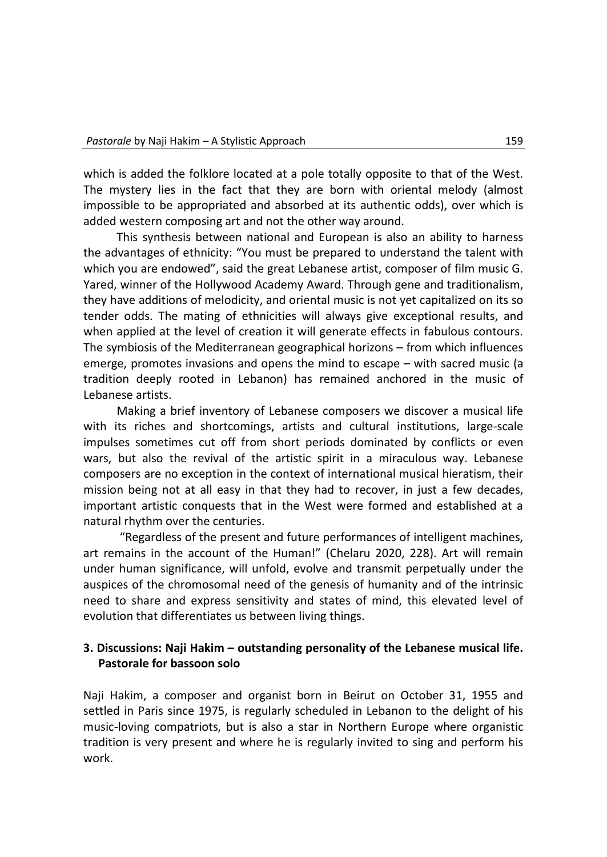which is added the folklore located at a pole totally opposite to that of the West. The mystery lies in the fact that they are born with oriental melody (almost impossible to be appropriated and absorbed at its authentic odds), over which is added western composing art and not the other way around.

This synthesis between national and European is also an ability to harness the advantages of ethnicity: "You must be prepared to understand the talent with which you are endowed", said the great Lebanese artist, composer of film music G. Yared, winner of the Hollywood Academy Award. Through gene and traditionalism, they have additions of melodicity, and oriental music is not yet capitalized on its so tender odds. The mating of ethnicities will always give exceptional results, and when applied at the level of creation it will generate effects in fabulous contours. The symbiosis of the Mediterranean geographical horizons – from which influences emerge, promotes invasions and opens the mind to escape – with sacred music (a tradition deeply rooted in Lebanon) has remained anchored in the music of Lebanese artists.

Making a brief inventory of Lebanese composers we discover a musical life with its riches and shortcomings, artists and cultural institutions, large-scale impulses sometimes cut off from short periods dominated by conflicts or even wars, but also the revival of the artistic spirit in a miraculous way. Lebanese composers are no exception in the context of international musical hieratism, their mission being not at all easy in that they had to recover, in just a few decades, important artistic conquests that in the West were formed and established at a natural rhythm over the centuries.

"Regardless of the present and future performances of intelligent machines, art remains in the account of the Human!" (Chelaru 2020, 228). Art will remain under human significance, will unfold, evolve and transmit perpetually under the auspices of the chromosomal need of the genesis of humanity and of the intrinsic need to share and express sensitivity and states of mind, this elevated level of evolution that differentiates us between living things.

## **3. Discussions: Naji Hakim – outstanding personality of the Lebanese musical life. Pastorale for bassoon solo**

Naji Hakim, a composer and organist born in Beirut on October 31, 1955 and settled in Paris since 1975, is regularly scheduled in Lebanon to the delight of his music-loving compatriots, but is also a star in Northern Europe where organistic tradition is very present and where he is regularly invited to sing and perform his work.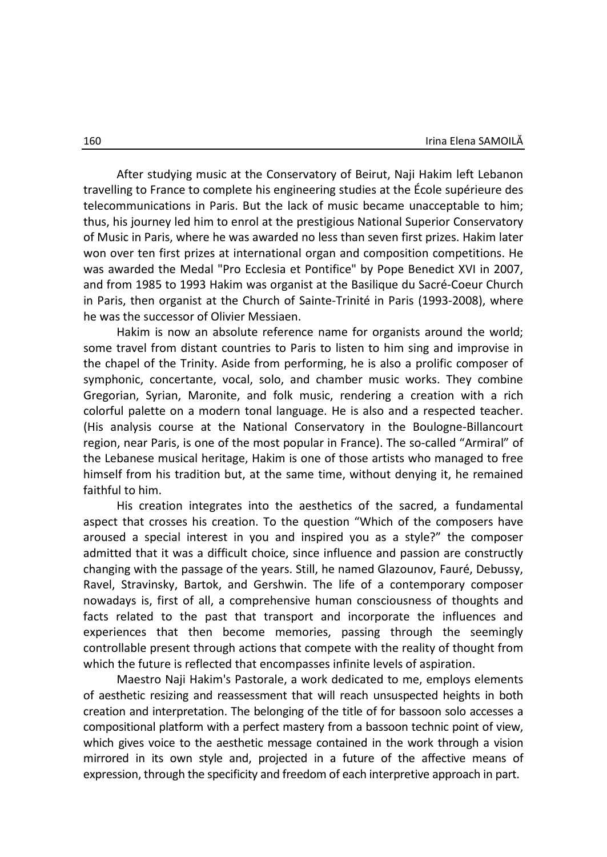After studying music at the Conservatory of Beirut, Naji Hakim left Lebanon travelling to France to complete his engineering studies at the École supérieure des telecommunications in Paris. But the lack of music became unacceptable to him; thus, his journey led him to enrol at the prestigious National Superior Conservatory of Music in Paris, where he was awarded no less than seven first prizes. Hakim later won over ten first prizes at international organ and composition competitions. He was awarded the Medal "Pro Ecclesia et Pontifice" by Pope Benedict XVI in 2007, and from 1985 to 1993 Hakim was organist at the Basilique du Sacré-Coeur Church in Paris, then organist at the Church of Sainte-Trinité in Paris (1993-2008), where he was the successor of Olivier Messiaen.

Hakim is now an absolute reference name for organists around the world; some travel from distant countries to Paris to listen to him sing and improvise in the chapel of the Trinity. Aside from performing, he is also a prolific composer of symphonic, concertante, vocal, solo, and chamber music works. They combine Gregorian, Syrian, Maronite, and folk music, rendering a creation with a rich colorful palette on a modern tonal language. He is also and a respected teacher. (His analysis course at the National Conservatory in the Boulogne-Billancourt region, near Paris, is one of the most popular in France). The so-called "Armiral" of the Lebanese musical heritage, Hakim is one of those artists who managed to free himself from his tradition but, at the same time, without denying it, he remained faithful to him.

His creation integrates into the aesthetics of the sacred, a fundamental aspect that crosses his creation. To the question "Which of the composers have aroused a special interest in you and inspired you as a style?" the composer admitted that it was a difficult choice, since influence and passion are constructly changing with the passage of the years. Still, he named Glazounov, Fauré, Debussy, Ravel, Stravinsky, Bartok, and Gershwin. The life of a contemporary composer nowadays is, first of all, a comprehensive human consciousness of thoughts and facts related to the past that transport and incorporate the influences and experiences that then become memories, passing through the seemingly controllable present through actions that compete with the reality of thought from which the future is reflected that encompasses infinite levels of aspiration.

Maestro Naji Hakim's Pastorale, a work dedicated to me, employs elements of aesthetic resizing and reassessment that will reach unsuspected heights in both creation and interpretation. The belonging of the title of for bassoon solo accesses a compositional platform with a perfect mastery from a bassoon technic point of view, which gives voice to the aesthetic message contained in the work through a vision mirrored in its own style and, projected in a future of the affective means of expression, through the specificity and freedom of each interpretive approach in part.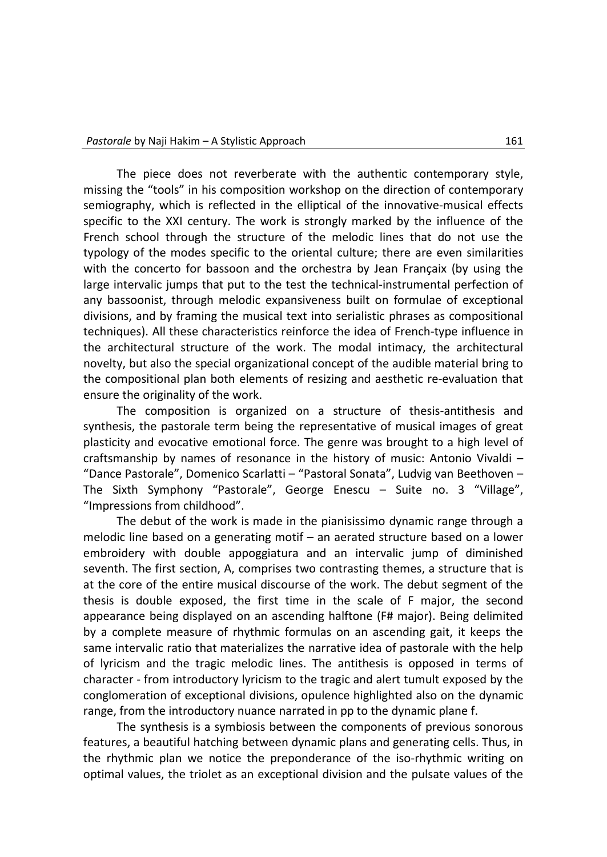The piece does not reverberate with the authentic contemporary style, missing the "tools" in his composition workshop on the direction of contemporary semiography, which is reflected in the elliptical of the innovative-musical effects specific to the XXI century. The work is strongly marked by the influence of the French school through the structure of the melodic lines that do not use the typology of the modes specific to the oriental culture; there are even similarities with the concerto for bassoon and the orchestra by Jean Françaix (by using the large intervalic jumps that put to the test the technical-instrumental perfection of any bassoonist, through melodic expansiveness built on formulae of exceptional divisions, and by framing the musical text into serialistic phrases as compositional techniques). All these characteristics reinforce the idea of French-type influence in the architectural structure of the work. The modal intimacy, the architectural novelty, but also the special organizational concept of the audible material bring to the compositional plan both elements of resizing and aesthetic re-evaluation that ensure the originality of the work.

The composition is organized on a structure of thesis-antithesis and synthesis, the pastorale term being the representative of musical images of great plasticity and evocative emotional force. The genre was brought to a high level of craftsmanship by names of resonance in the history of music: Antonio Vivaldi – "Dance Pastorale", Domenico Scarlatti – "Pastoral Sonata", Ludvig van Beethoven – The Sixth Symphony "Pastorale", George Enescu – Suite no. 3 "Village", "Impressions from childhood".

The debut of the work is made in the pianisissimo dynamic range through a melodic line based on a generating motif – an aerated structure based on a lower embroidery with double appoggiatura and an intervalic jump of diminished seventh. The first section, A, comprises two contrasting themes, a structure that is at the core of the entire musical discourse of the work. The debut segment of the thesis is double exposed, the first time in the scale of F major, the second appearance being displayed on an ascending halftone (F# major). Being delimited by a complete measure of rhythmic formulas on an ascending gait, it keeps the same intervalic ratio that materializes the narrative idea of pastorale with the help of lyricism and the tragic melodic lines. The antithesis is opposed in terms of character - from introductory lyricism to the tragic and alert tumult exposed by the conglomeration of exceptional divisions, opulence highlighted also on the dynamic range, from the introductory nuance narrated in pp to the dynamic plane f.

The synthesis is a symbiosis between the components of previous sonorous features, a beautiful hatching between dynamic plans and generating cells. Thus, in the rhythmic plan we notice the preponderance of the iso-rhythmic writing on optimal values, the triolet as an exceptional division and the pulsate values of the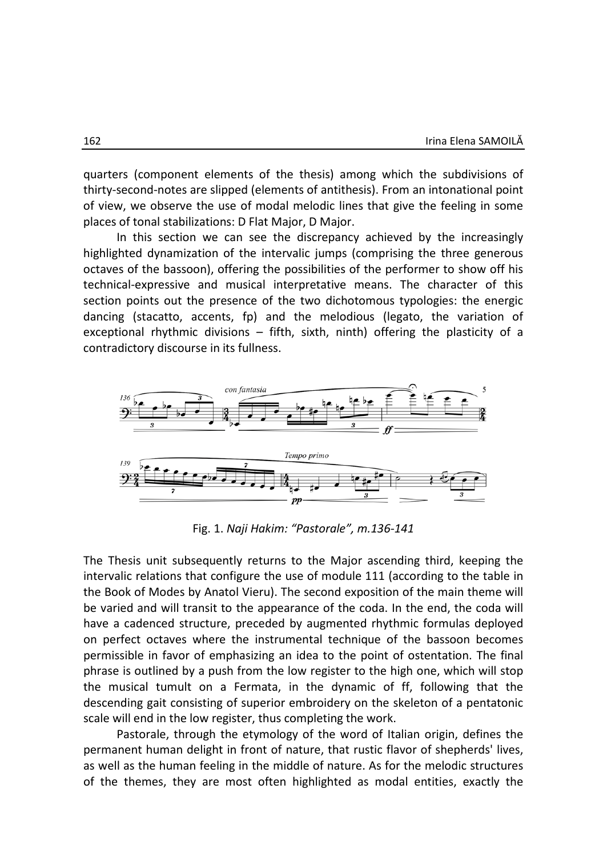quarters (component elements of the thesis) among which the subdivisions of thirty-second-notes are slipped (elements of antithesis). From an intonational point of view, we observe the use of modal melodic lines that give the feeling in some places of tonal stabilizations: D Flat Major, D Major.

In this section we can see the discrepancy achieved by the increasingly highlighted dynamization of the intervalic jumps (comprising the three generous octaves of the bassoon), offering the possibilities of the performer to show off his technical-expressive and musical interpretative means. The character of this section points out the presence of the two dichotomous typologies: the energic dancing (stacatto, accents, fp) and the melodious (legato, the variation of exceptional rhythmic divisions – fifth, sixth, ninth) offering the plasticity of a contradictory discourse in its fullness.



Fig. 1. *Naji Hakim: "Pastorale", m.136-141*

The Thesis unit subsequently returns to the Major ascending third, keeping the intervalic relations that configure the use of module 111 (according to the table in the Book of Modes by Anatol Vieru). The second exposition of the main theme will be varied and will transit to the appearance of the coda. In the end, the coda will have a cadenced structure, preceded by augmented rhythmic formulas deployed on perfect octaves where the instrumental technique of the bassoon becomes permissible in favor of emphasizing an idea to the point of ostentation. The final phrase is outlined by a push from the low register to the high one, which will stop the musical tumult on a Fermata, in the dynamic of ff, following that the descending gait consisting of superior embroidery on the skeleton of a pentatonic scale will end in the low register, thus completing the work.

Pastorale, through the etymology of the word of Italian origin, defines the permanent human delight in front of nature, that rustic flavor of shepherds' lives, as well as the human feeling in the middle of nature. As for the melodic structures of the themes, they are most often highlighted as modal entities, exactly the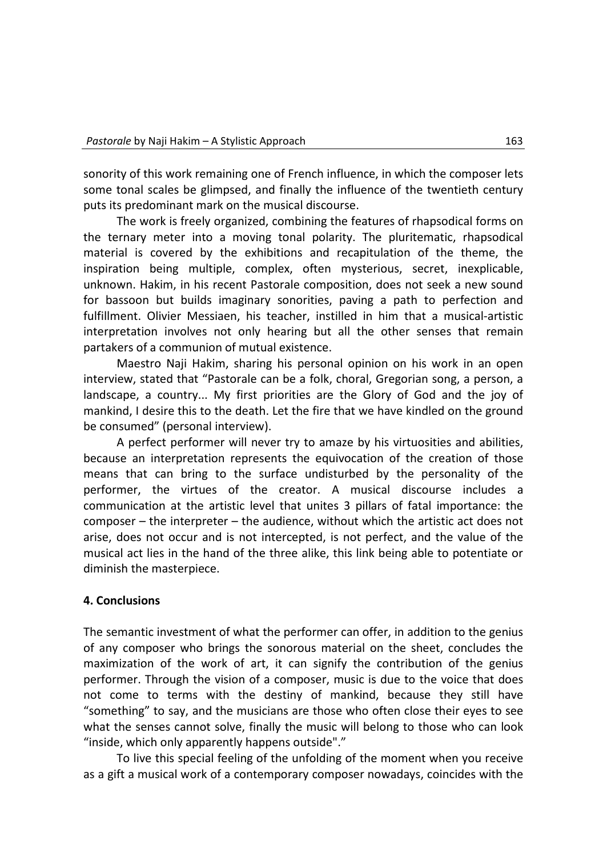sonority of this work remaining one of French influence, in which the composer lets some tonal scales be glimpsed, and finally the influence of the twentieth century puts its predominant mark on the musical discourse.

The work is freely organized, combining the features of rhapsodical forms on the ternary meter into a moving tonal polarity. The pluritematic, rhapsodical material is covered by the exhibitions and recapitulation of the theme, the inspiration being multiple, complex, often mysterious, secret, inexplicable, unknown. Hakim, in his recent Pastorale composition, does not seek a new sound for bassoon but builds imaginary sonorities, paving a path to perfection and fulfillment. Olivier Messiaen, his teacher, instilled in him that a musical-artistic interpretation involves not only hearing but all the other senses that remain partakers of a communion of mutual existence.

Maestro Naji Hakim, sharing his personal opinion on his work in an open interview, stated that "Pastorale can be a folk, choral, Gregorian song, a person, a landscape, a country... My first priorities are the Glory of God and the joy of mankind, I desire this to the death. Let the fire that we have kindled on the ground be consumed" (personal interview).

A perfect performer will never try to amaze by his virtuosities and abilities, because an interpretation represents the equivocation of the creation of those means that can bring to the surface undisturbed by the personality of the performer, the virtues of the creator. A musical discourse includes a communication at the artistic level that unites 3 pillars of fatal importance: the composer – the interpreter – the audience, without which the artistic act does not arise, does not occur and is not intercepted, is not perfect, and the value of the musical act lies in the hand of the three alike, this link being able to potentiate or diminish the masterpiece.

### **4. Conclusions**

The semantic investment of what the performer can offer, in addition to the genius of any composer who brings the sonorous material on the sheet, concludes the maximization of the work of art, it can signify the contribution of the genius performer. Through the vision of a composer, music is due to the voice that does not come to terms with the destiny of mankind, because they still have "something" to say, and the musicians are those who often close their eyes to see what the senses cannot solve, finally the music will belong to those who can look "inside, which only apparently happens outside"."

To live this special feeling of the unfolding of the moment when you receive as a gift a musical work of a contemporary composer nowadays, coincides with the